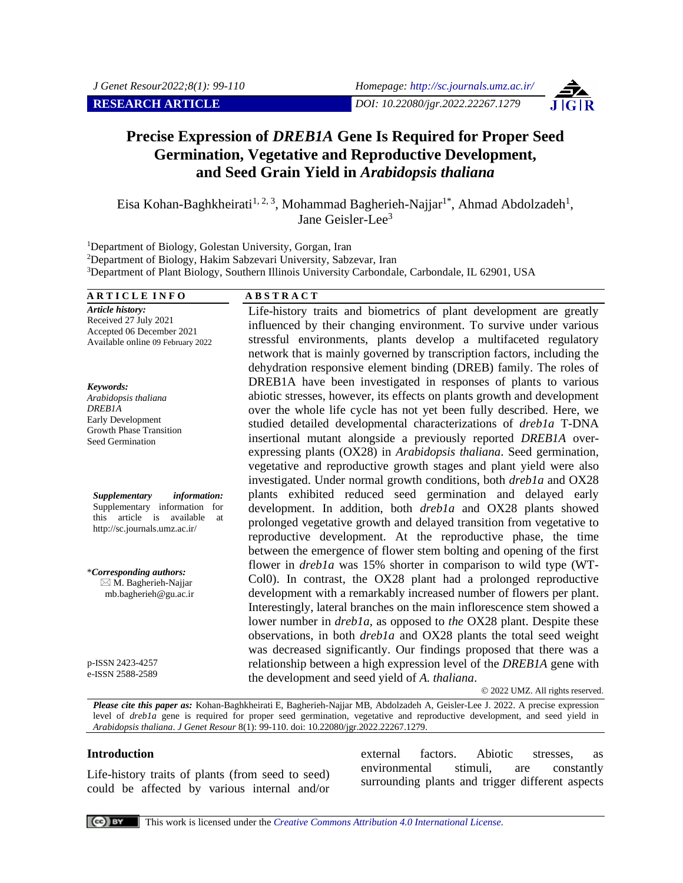**RESEARCH ARTICLE** *DOI: 10.22080/jgr.2022.22267.1279*

# **Precise Expression of** *DREB1A* **Gene Is Required for Proper Seed Germination, Vegetative and Reproductive Development, and Seed Grain Yield in** *Arabidopsis thaliana*

Eisa Kohan-Baghkheirati<sup>1, 2, 3</sup>, Mohammad Bagherieh-Najjar<sup>1\*</sup>, Ahmad Abdolzadeh<sup>1</sup>, Jane Geisler-Lee<sup>3</sup>

<sup>1</sup>Department of Biology, Golestan University, Gorgan, Iran

<sup>2</sup>Department of Biology, Hakim Sabzevari University, Sabzevar, Iran

<sup>3</sup>Department of Plant Biology, Southern Illinois University Carbondale, Carbondale, IL 62901, USA

#### **A R T I C L E I N F O A B S T R A C T** *Article history:* Received 27 July 2021 Accepted 06 December 2021 Available online 09 February 2022 Life-history traits and biometrics of plant development are greatly influenced by their changing environment. To survive under various stressful environments, plants develop a multifaceted regulatory network that is mainly governed by transcription factors, including the dehydration responsive element binding (DREB) family. The roles of DREB1A have been investigated in responses of plants to various abiotic stresses, however, its effects on plants growth and development over the whole life cycle has not yet been fully described. Here, we studied detailed developmental characterizations of *dreb1a* T-DNA insertional mutant alongside a previously reported *DREB1A* overexpressing plants (OX28) in *Arabidopsis thaliana*. Seed germination, vegetative and reproductive growth stages and plant yield were also investigated. Under normal growth conditions, both *dreb1a* and OX28 plants exhibited reduced seed germination and delayed early development. In addition, both *dreb1a* and OX28 plants showed prolonged vegetative growth and delayed transition from vegetative to reproductive development. At the reproductive phase, the time between the emergence of flower stem bolting and opening of the first flower in *dreb1a* was 15% shorter in comparison to wild type (WT-Col0). In contrast, the OX28 plant had a prolonged reproductive development with a remarkably increased number of flowers per plant. Interestingly, lateral branches on the main inflorescence stem showed a lower number in *dreb1a,* as opposed to *the* OX28 plant. Despite these observations, in both *dreb1a* and OX28 plants the total seed weight was decreased significantly. Our findings proposed that there was a relationship between a high expression level of the *DREB1A* gene with the development and seed yield of *A. thaliana*. © 2022 UMZ. All rights reserved. *Keywords: Arabidopsis thaliana DREB1A* Early Development Growth Phase Transition Seed Germination *Supplementary information:* Supplementary information for this article is available at http://sc.journals.umz.ac.ir/ \**Corresponding authors:*  $\boxtimes$  M. Bagherieh-Najjar mb.bagherieh@gu.ac.ir p-ISSN 2423-4257 e-ISSN 2588-2589

*Please cite this paper as:* Kohan-Baghkheirati E, Bagherieh-Najjar MB, Abdolzadeh A, Geisler-Lee J. 2022. A precise expression level of *dreb1a* gene is required for proper seed germination, vegetative and reproductive development, and seed yield in *Arabidopsis thaliana*. *J Genet Resour* 8(1): 99-110. doi: 10.22080/jgr.2022.22267.1279.

#### **Introduction**

Life-history traits of plants (from seed to seed) could be affected by various internal and/or

external factors. Abiotic stresses, as environmental stimuli, are constantly surrounding plants and trigger different aspects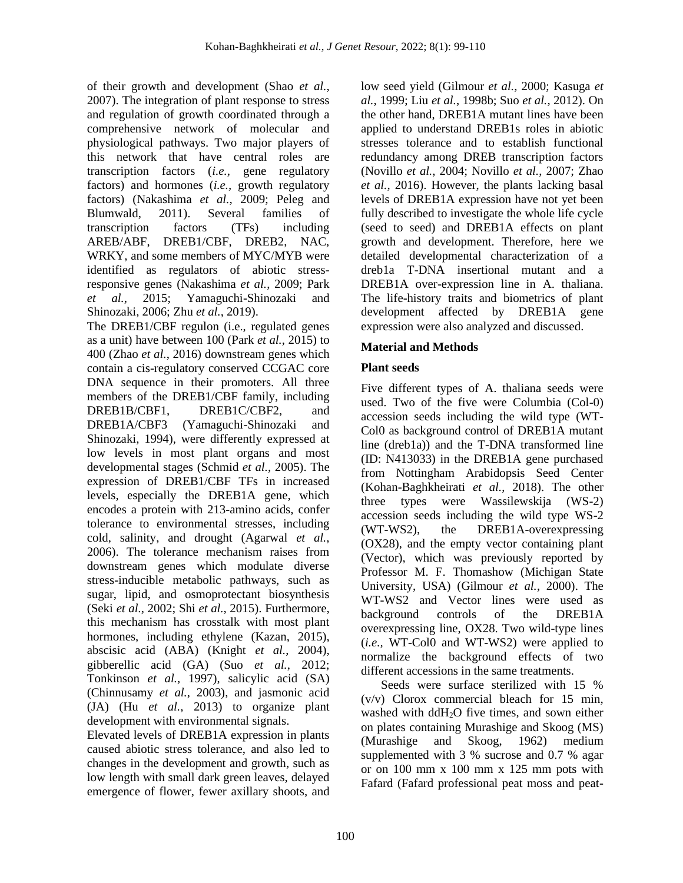of their growth and development (Shao *et al.*, 2007). The integration of plant response to stress and regulation of growth coordinated through a comprehensive network of molecular and physiological pathways. Two major players of this network that have central roles are transcription factors (*i.e.,* gene regulatory factors) and hormones (*i.e.,* growth regulatory factors) (Nakashima *et al.*, 2009; Peleg and Blumwald, 2011). Several families of transcription factors (TFs) including AREB/ABF, DREB1/CBF, DREB2, NAC, WRKY, and some members of MYC/MYB were identified as regulators of abiotic stressresponsive genes (Nakashima *et al.*, 2009; Park *et al.*, 2015; Yamaguchi-Shinozaki and Shinozaki, 2006; Zhu *et al.*, 2019).

The DREB1/CBF regulon (i.e., regulated genes as a unit) have between 100 (Park *et al.*, 2015) to 400 (Zhao *et al.*, 2016) downstream genes which contain a cis-regulatory conserved CCGAC core DNA sequence in their promoters. All three members of the DREB1/CBF family, including DREB1B/CBF1, DREB1C/CBF2, and DREB1A/CBF3 (Yamaguchi-Shinozaki and Shinozaki, 1994), were differently expressed at low levels in most plant organs and most developmental stages (Schmid *et al.*, 2005). The expression of DREB1/CBF TFs in increased levels, especially the DREB1A gene, which encodes a protein with 213-amino acids, confer tolerance to environmental stresses, including cold, salinity, and drought (Agarwal *et al.*, 2006). The tolerance mechanism raises from downstream genes which modulate diverse stress-inducible metabolic pathways, such as sugar, lipid, and osmoprotectant biosynthesis (Seki *et al.*, 2002; Shi *et al.*, 2015). Furthermore, this mechanism has crosstalk with most plant hormones, including ethylene (Kazan, 2015), abscisic acid (ABA) (Knight *et al.*, 2004), gibberellic acid (GA) (Suo *et al.*, 2012; Tonkinson *et al.*, 1997), salicylic acid (SA) (Chinnusamy *et al.*, 2003), and jasmonic acid (JA) (Hu *et al.*, 2013) to organize plant development with environmental signals.

Elevated levels of DREB1A expression in plants caused abiotic stress tolerance, and also led to changes in the development and growth, such as low length with small dark green leaves, delayed emergence of flower, fewer axillary shoots, and low seed yield (Gilmour *et al.*, 2000; Kasuga *et al.*, 1999; Liu *et al.*, 1998b; Suo *et al.*, 2012). On the other hand, DREB1A mutant lines have been applied to understand DREB1s roles in abiotic stresses tolerance and to establish functional redundancy among DREB transcription factors (Novillo *et al.*, 2004; Novillo *et al.*, 2007; Zhao *et al.*, 2016). However, the plants lacking basal levels of DREB1A expression have not yet been fully described to investigate the whole life cycle (seed to seed) and DREB1A effects on plant growth and development. Therefore, here we detailed developmental characterization of a dreb1a T-DNA insertional mutant and a DREB1A over-expression line in A. thaliana. The life-history traits and biometrics of plant development affected by DREB1A gene expression were also analyzed and discussed.

### **Material and Methods**

### **Plant seeds**

Five different types of A. thaliana seeds were used. Two of the five were Columbia (Col-0) accession seeds including the wild type (WT-Col0 as background control of DREB1A mutant line (dreb1a)) and the T-DNA transformed line (ID: N413033) in the DREB1A gene purchased from Nottingham Arabidopsis Seed Center (Kohan-Baghkheirati *et al.*, 2018). The other three types were Wassilewskija (WS-2) accession seeds including the wild type WS-2 (WT-WS2), the DREB1A-overexpressing (OX28), and the empty vector containing plant (Vector), which was previously reported by Professor M. F. Thomashow (Michigan State University, USA) (Gilmour *et al.*, 2000). The WT-WS2 and Vector lines were used as background controls of the DREB1A overexpressing line, OX28. Two wild-type lines (*i.e.,* WT-Col0 and WT-WS2) were applied to normalize the background effects of two different accessions in the same treatments.

Seeds were surface sterilized with 15 % (v/v) Clorox commercial bleach for 15 min, washed with ddH<sub>2</sub>O five times, and sown either on plates containing Murashige and Skoog (MS) (Murashige and Skoog, 1962) medium supplemented with 3 % sucrose and 0.7 % agar or on 100 mm x 100 mm x 125 mm pots with Fafard (Fafard professional peat moss and peat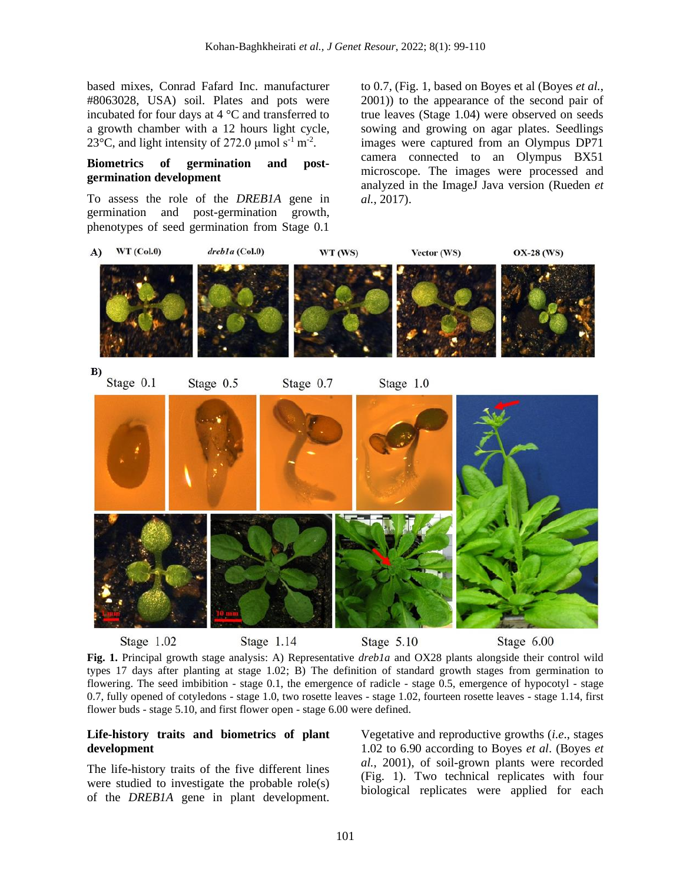based mixes, Conrad Fafard Inc. manufacturer #8063028, USA) soil. Plates and pots were incubated for four days at 4 °C and transferred to a growth chamber with a 12 hours light cycle, 23 $^{\circ}$ C, and light intensity of 272.0 µmol s<sup>-1</sup> m<sup>-2</sup>.

### **Biometrics of germination and postgermination development**

To assess the role of the *DREB1A* gene in germination and post-germination growth, phenotypes of seed germination from Stage 0.1

to 0.7, (Fig. 1, based on Boyes et al (Boyes *et al.*, 2001)) to the appearance of the second pair of true leaves (Stage 1.04) were observed on seeds sowing and growing on agar plates. Seedlings images were captured from an Olympus DP71 camera connected to an Olympus BX51 microscope. The images were processed and analyzed in the ImageJ Java version (Rueden *et al.*, 2017).



**Fig. 1.** Principal growth stage analysis: A) Representative *dreb1a* and OX28 plants alongside their control wild types 17 days after planting at stage 1.02; B) The definition of standard growth stages from germination to flowering. The seed imbibition - stage 0.1, the emergence of radicle - stage 0.5, emergence of hypocotyl - stage 0.7, fully opened of cotyledons - stage 1.0, two rosette leaves - stage 1.02, fourteen rosette leaves - stage 1.14, first flower buds - stage 5.10, and first flower open - stage 6.00 were defined.

### **Life-history traits and biometrics of plant development**

The life-history traits of the five different lines were studied to investigate the probable role(s) of the *DREB1A* gene in plant development.

Vegetative and reproductive growths (*i.e*., stages 1.02 to 6.90 according to Boyes *et al*. (Boyes *et al.*, 2001), of soil-grown plants were recorded (Fig. 1). Two technical replicates with four biological replicates were applied for each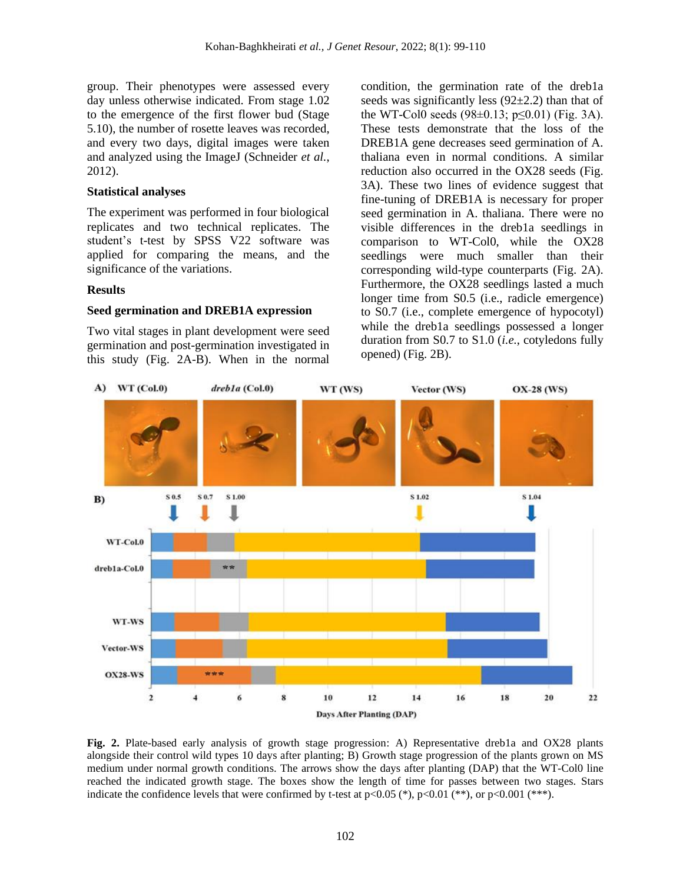group. Their phenotypes were assessed every day unless otherwise indicated. From stage 1.02 to the emergence of the first flower bud (Stage 5.10), the number of rosette leaves was recorded, and every two days, digital images were taken and analyzed using the ImageJ (Schneider *et al.*, 2012).

#### **Statistical analyses**

The experiment was performed in four biological replicates and two technical replicates. The student's t-test by SPSS V22 software was applied for comparing the means, and the significance of the variations.

#### **Results**

#### **Seed germination and DREB1A expression**

Two vital stages in plant development were seed germination and post-germination investigated in this study (Fig. 2A-B). When in the normal condition, the germination rate of the dreb1a seeds was significantly less  $(92\pm 2.2)$  than that of the WT-Col0 seeds  $(98\pm0.13; p\leq0.01)$  (Fig. 3A). These tests demonstrate that the loss of the DREB1A gene decreases seed germination of A. thaliana even in normal conditions. A similar reduction also occurred in the OX28 seeds (Fig. 3A). These two lines of evidence suggest that fine-tuning of DREB1A is necessary for proper seed germination in A. thaliana. There were no visible differences in the dreb1a seedlings in comparison to WT-Col0, while the OX28 seedlings were much smaller than their corresponding wild-type counterparts (Fig. 2A). Furthermore, the OX28 seedlings lasted a much longer time from S0.5 (i.e., radicle emergence) to S0.7 (i.e., complete emergence of hypocotyl) while the dreb1a seedlings possessed a longer duration from S0.7 to S1.0 (*i.e.*, cotyledons fully opened) (Fig. 2B).



Fig. 2. Plate-based early analysis of growth stage progression: A) Representative dreb1a and OX28 plants alongside their control wild types 10 days after planting; B) Growth stage progression of the plants grown on MS medium under normal growth conditions. The arrows show the days after planting (DAP) that the WT-Col0 line reached the indicated growth stage. The boxes show the length of time for passes between two stages. Stars indicate the confidence levels that were confirmed by t-test at  $p<0.05$  (\*),  $p<0.01$  (\*\*), or  $p<0.001$  (\*\*\*).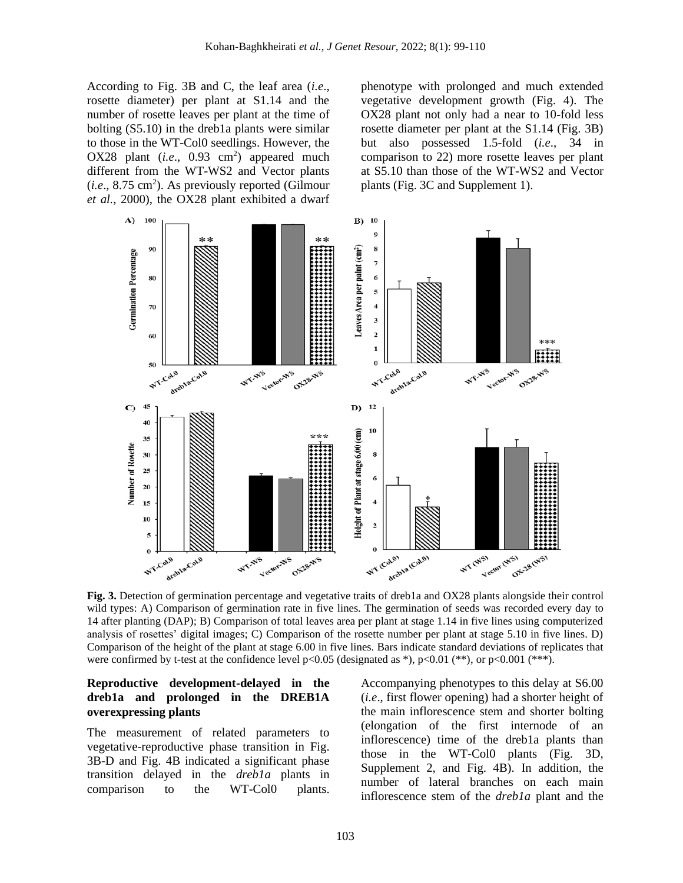According to Fig. 3B and C, the leaf area (*i.e*., rosette diameter) per plant at S1.14 and the number of rosette leaves per plant at the time of bolting (S5.10) in the dreb1a plants were similar to those in the WT-Col0 seedlings. However, the OX28 plant  $(i.e., 0.93 cm<sup>2</sup>)$  appeared much different from the WT-WS2 and Vector plants  $(i.e., 8.75 cm<sup>2</sup>)$ . As previously reported (Gilmour *et al.*, 2000), the OX28 plant exhibited a dwarf

phenotype with prolonged and much extended vegetative development growth (Fig. 4). The OX28 plant not only had a near to 10-fold less rosette diameter per plant at the S1.14 (Fig. 3B) but also possessed 1.5-fold (*i.e*., 34 in comparison to 22) more rosette leaves per plant at S5.10 than those of the WT-WS2 and Vector plants (Fig. 3C and Supplement 1).



**Fig. 3.** Detection of germination percentage and vegetative traits of dreb1a and OX28 plants alongside their control wild types: A) Comparison of germination rate in five lines. The germination of seeds was recorded every day to 14 after planting (DAP); B) Comparison of total leaves area per plant at stage 1.14 in five lines using computerized analysis of rosettes' digital images; C) Comparison of the rosette number per plant at stage 5.10 in five lines. D) Comparison of the height of the plant at stage 6.00 in five lines. Bars indicate standard deviations of replicates that were confirmed by t-test at the confidence level  $p<0.05$  (designated as \*),  $p<0.01$  (\*\*), or  $p<0.001$  (\*\*\*).

#### **Reproductive development-delayed in the dreb1a and prolonged in the DREB1A overexpressing plants**

The measurement of related parameters to vegetative-reproductive phase transition in Fig. 3B-D and Fig. 4B indicated a significant phase transition delayed in the *dreb1a* plants in comparison to the WT-Col0 plants.

Accompanying phenotypes to this delay at S6.00 (*i.e*., first flower opening) had a shorter height of the main inflorescence stem and shorter bolting (elongation of the first internode of an inflorescence) time of the dreb1a plants than those in the WT-Col0 plants (Fig. 3D, Supplement 2, and Fig. 4B). In addition, the number of lateral branches on each main inflorescence stem of the *dreb1a* plant and the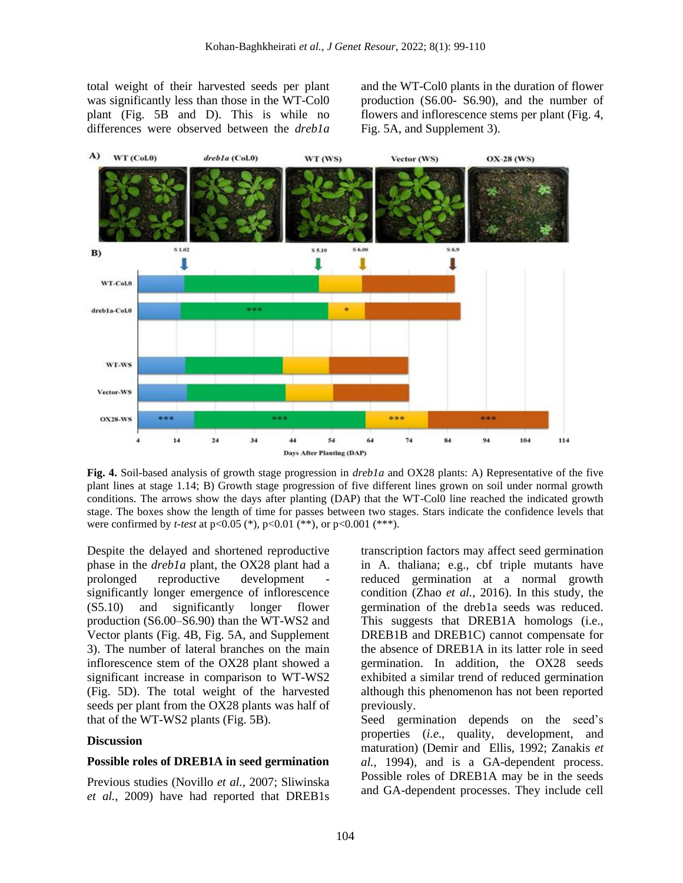total weight of their harvested seeds per plant was significantly less than those in the WT-Col0 plant (Fig. 5B and D). This is while no differences were observed between the *dreb1a*

and the WT-Col0 plants in the duration of flower production (S6.00- S6.90), and the number of flowers and inflorescence stems per plant (Fig. 4, Fig. 5A, and Supplement 3).



**Fig. 4.** Soil-based analysis of growth stage progression in *dreb1a* and OX28 plants: A) Representative of the five plant lines at stage 1.14; B) Growth stage progression of five different lines grown on soil under normal growth conditions. The arrows show the days after planting (DAP) that the WT-Col0 line reached the indicated growth stage. The boxes show the length of time for passes between two stages. Stars indicate the confidence levels that were confirmed by *t-test* at  $p<0.05$  (\*),  $p<0.01$  (\*\*), or  $p<0.001$  (\*\*\*).

Despite the delayed and shortened reproductive phase in the *dreb1a* plant, the OX28 plant had a prolonged reproductive development significantly longer emergence of inflorescence (S5.10) and significantly longer flower production (S6.00–S6.90) than the WT-WS2 and Vector plants (Fig. 4B, Fig. 5A, and Supplement 3). The number of lateral branches on the main inflorescence stem of the OX28 plant showed a significant increase in comparison to WT-WS2 (Fig. 5D). The total weight of the harvested seeds per plant from the OX28 plants was half of that of the WT-WS2 plants (Fig. 5B).

#### **Discussion**

#### **Possible roles of DREB1A in seed germination**

Previous studies (Novillo *et al.*, 2007; Sliwinska *et al.*, 2009) have had reported that DREB1s

transcription factors may affect seed germination in A. thaliana; e.g., cbf triple mutants have reduced germination at a normal growth condition (Zhao *et al.*, 2016). In this study, the germination of the dreb1a seeds was reduced. This suggests that DREB1A homologs (i.e., DREB1B and DREB1C) cannot compensate for the absence of DREB1A in its latter role in seed germination. In addition, the OX28 seeds exhibited a similar trend of reduced germination although this phenomenon has not been reported previously.

Seed germination depends on the seed's properties (*i.e*., quality, development, and maturation) (Demir and Ellis, 1992; Zanakis *et al.*, 1994), and is a GA-dependent process. Possible roles of DREB1A may be in the seeds and GA-dependent processes. They include cell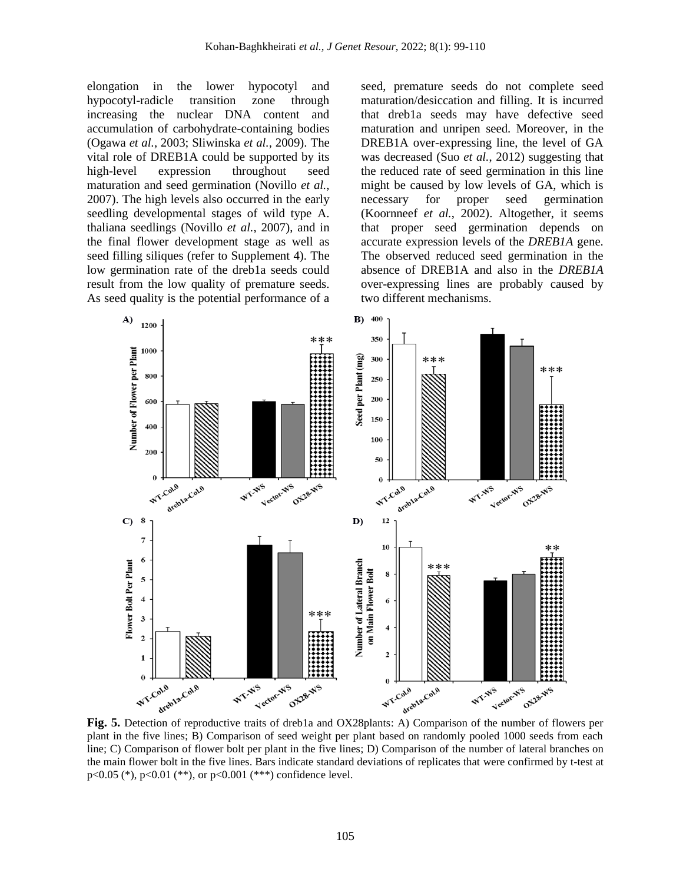elongation in the lower hypocotyl and hypocotyl-radicle transition zone through increasing the nuclear DNA content and accumulation of carbohydrate-containing bodies (Ogawa *et al.*, 2003; Sliwinska *et al.*, 2009). The vital role of DREB1A could be supported by its high-level expression throughout seed maturation and seed germination (Novillo *et al.*, 2007). The high levels also occurred in the early seedling developmental stages of wild type A. thaliana seedlings (Novillo *et al.*, 2007), and in the final flower development stage as well as seed filling siliques (refer to Supplement 4). The low germination rate of the dreb1a seeds could result from the low quality of premature seeds. As seed quality is the potential performance of a

seed, premature seeds do not complete seed maturation/desiccation and filling. It is incurred that dreb1a seeds may have defective seed maturation and unripen seed. Moreover, in the DREB1A over-expressing line, the level of GA was decreased (Suo *et al.*, 2012) suggesting that the reduced rate of seed germination in this line might be caused by low levels of GA, which is necessary for proper seed germination (Koornneef *et al.*, 2002). Altogether, it seems that proper seed germination depends on accurate expression levels of the *DREB1A* gene. The observed reduced seed germination in the absence of DREB1A and also in the *DREB1A* over-expressing lines are probably caused by two different mechanisms.



plant in the five lines; B) Comparison of seed weight per plant based on randomly pooled 1000 seeds from each line; C) Comparison of flower bolt per plant in the five lines; D) Comparison of the number of lateral branches on the main flower bolt in the five lines. Bars indicate standard deviations of replicates that were confirmed by t-test at p<0.05 (\*), p<0.01 (\*\*), or p<0.001 (\*\*\*) confidence level.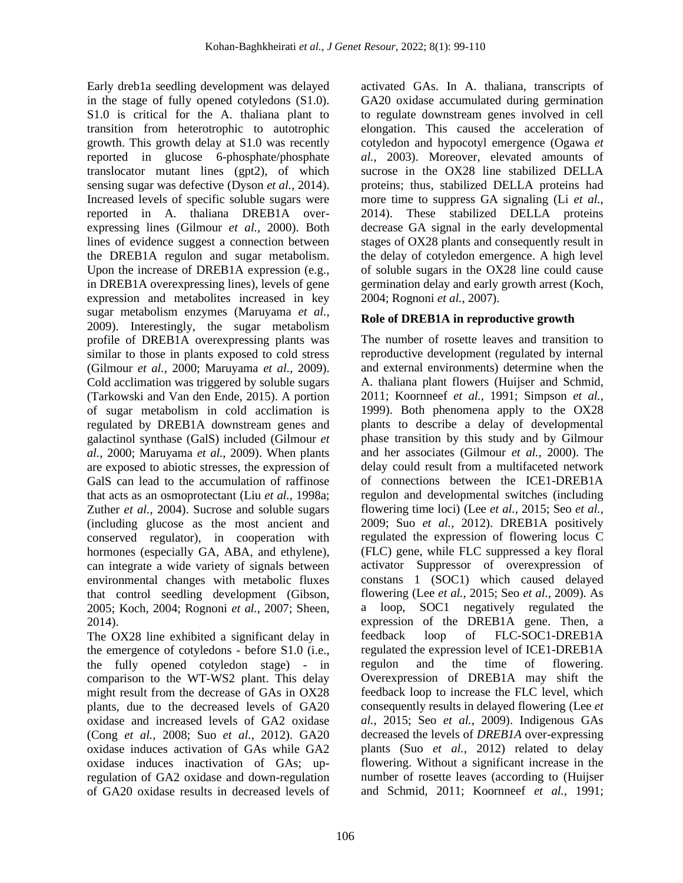Early dreb1a seedling development was delayed in the stage of fully opened cotyledons (S1.0). S1.0 is critical for the A. thaliana plant to transition from heterotrophic to autotrophic growth. This growth delay at S1.0 was recently reported in glucose 6-phosphate/phosphate translocator mutant lines (gpt2), of which sensing sugar was defective (Dyson *et al.*, 2014). Increased levels of specific soluble sugars were reported in A. thaliana DREB1A overexpressing lines (Gilmour *et al.*, 2000). Both lines of evidence suggest a connection between the DREB1A regulon and sugar metabolism. Upon the increase of DREB1A expression (e.g., in DREB1A overexpressing lines), levels of gene expression and metabolites increased in key sugar metabolism enzymes (Maruyama *et al.*, 2009). Interestingly, the sugar metabolism profile of DREB1A overexpressing plants was similar to those in plants exposed to cold stress (Gilmour *et al.*, 2000; Maruyama *et al.*, 2009). Cold acclimation was triggered by soluble sugars (Tarkowski and Van den Ende, 2015). A portion of sugar metabolism in cold acclimation is regulated by DREB1A downstream genes and galactinol synthase (GalS) included (Gilmour *et al.*, 2000; Maruyama *et al.*, 2009). When plants are exposed to abiotic stresses, the expression of GalS can lead to the accumulation of raffinose that acts as an osmoprotectant (Liu *et al.*, 1998a; Zuther *et al.*, 2004). Sucrose and soluble sugars (including glucose as the most ancient and conserved regulator), in cooperation with hormones (especially GA, ABA, and ethylene), can integrate a wide variety of signals between environmental changes with metabolic fluxes that control seedling development (Gibson, 2005; Koch, 2004; Rognoni *et al.*, 2007; Sheen, 2014).

The OX28 line exhibited a significant delay in the emergence of cotyledons - before S1.0 (i.e., the fully opened cotyledon stage) - in comparison to the WT-WS2 plant. This delay might result from the decrease of GAs in OX28 plants, due to the decreased levels of GA20 oxidase and increased levels of GA2 oxidase (Cong *et al.*, 2008; Suo *et al.*, 2012). GA20 oxidase induces activation of GAs while GA2 oxidase induces inactivation of GAs; upregulation of GA2 oxidase and down-regulation of GA20 oxidase results in decreased levels of

activated GAs. In A. thaliana, transcripts of GA20 oxidase accumulated during germination to regulate downstream genes involved in cell elongation. This caused the acceleration of cotyledon and hypocotyl emergence (Ogawa *et al.*, 2003). Moreover, elevated amounts of sucrose in the OX28 line stabilized DELLA proteins; thus, stabilized DELLA proteins had more time to suppress GA signaling (Li *et al.*, 2014). These stabilized DELLA proteins decrease GA signal in the early developmental stages of OX28 plants and consequently result in the delay of cotyledon emergence. A high level of soluble sugars in the OX28 line could cause germination delay and early growth arrest (Koch, 2004; Rognoni *et al.*, 2007).

## **Role of DREB1A in reproductive growth**

The number of rosette leaves and transition to reproductive development (regulated by internal and external environments) determine when the A. thaliana plant flowers (Huijser and Schmid, 2011; Koornneef *et al.*, 1991; Simpson *et al.*, 1999). Both phenomena apply to the OX28 plants to describe a delay of developmental phase transition by this study and by Gilmour and her associates (Gilmour *et al.*, 2000). The delay could result from a multifaceted network of connections between the ICE1-DREB1A regulon and developmental switches (including flowering time loci) (Lee *et al.*, 2015; Seo *et al.*, 2009; Suo *et al.*, 2012). DREB1A positively regulated the expression of flowering locus C (FLC) gene, while FLC suppressed a key floral activator Suppressor of overexpression of constans 1 (SOC1) which caused delayed flowering (Lee *et al.*, 2015; Seo *et al.*, 2009). As a loop, SOC1 negatively regulated the expression of the DREB1A gene. Then, a feedback loop of FLC-SOC1-DREB1A regulated the expression level of ICE1-DREB1A regulon and the time of flowering. Overexpression of DREB1A may shift the feedback loop to increase the FLC level, which consequently results in delayed flowering (Lee *et al.*, 2015; Seo *et al.*, 2009). Indigenous GAs decreased the levels of *DREB1A* over-expressing plants (Suo *et al.*, 2012) related to delay flowering. Without a significant increase in the number of rosette leaves (according to (Huijser and Schmid, 2011; Koornneef *et al.*, 1991;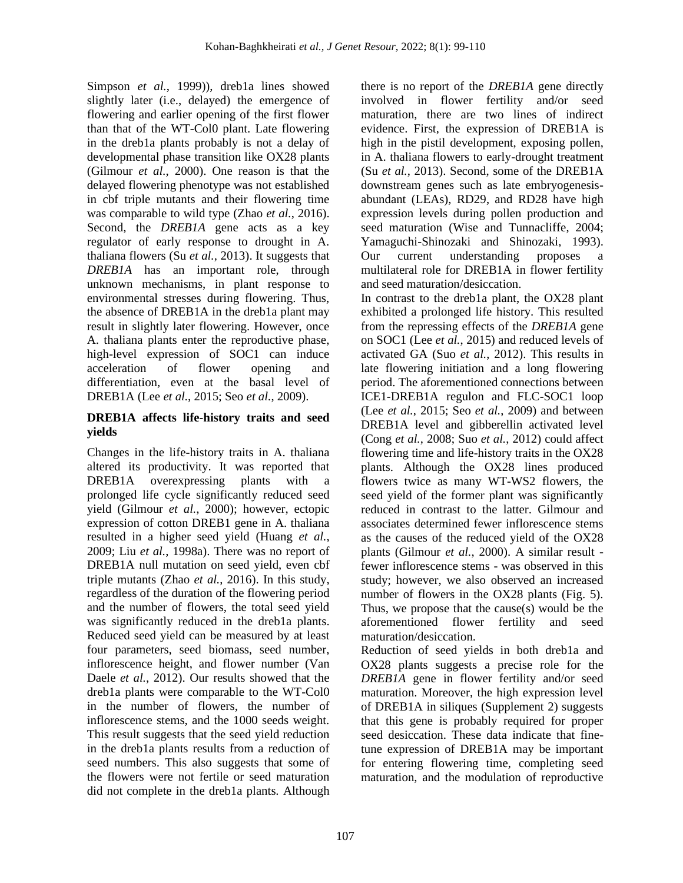Simpson *et al.*, 1999)), dreb1a lines showed slightly later (i.e., delayed) the emergence of flowering and earlier opening of the first flower than that of the WT-Col0 plant. Late flowering in the dreb1a plants probably is not a delay of developmental phase transition like OX28 plants (Gilmour *et al.*, 2000). One reason is that the delayed flowering phenotype was not established in cbf triple mutants and their flowering time was comparable to wild type (Zhao *et al.*, 2016). Second, the *DREB1A* gene acts as a key regulator of early response to drought in A. thaliana flowers (Su *et al.*, 2013). It suggests that *DREB1A* has an important role, through unknown mechanisms, in plant response to environmental stresses during flowering. Thus, the absence of DREB1A in the dreb1a plant may result in slightly later flowering. However, once A. thaliana plants enter the reproductive phase, high-level expression of SOC1 can induce acceleration of flower opening and differentiation, even at the basal level of DREB1A (Lee *et al.*, 2015; Seo *et al.*, 2009).

### **DREB1A affects life-history traits and seed yields**

Changes in the life-history traits in A. thaliana altered its productivity. It was reported that DREB1A overexpressing plants with a prolonged life cycle significantly reduced seed yield (Gilmour *et al.*, 2000); however, ectopic expression of cotton DREB1 gene in A. thaliana resulted in a higher seed yield (Huang *et al.*, 2009; Liu *et al.*, 1998a). There was no report of DREB1A null mutation on seed yield, even cbf triple mutants (Zhao *et al.*, 2016). In this study, regardless of the duration of the flowering period and the number of flowers, the total seed yield was significantly reduced in the dreb1a plants. Reduced seed yield can be measured by at least four parameters, seed biomass, seed number, inflorescence height, and flower number (Van Daele *et al.*, 2012). Our results showed that the dreb1a plants were comparable to the WT-Col0 in the number of flowers, the number of inflorescence stems, and the 1000 seeds weight. This result suggests that the seed yield reduction in the dreb1a plants results from a reduction of seed numbers. This also suggests that some of the flowers were not fertile or seed maturation did not complete in the dreb1a plants. Although

there is no report of the *DREB1A* gene directly involved in flower fertility and/or seed maturation, there are two lines of indirect evidence. First, the expression of DREB1A is high in the pistil development, exposing pollen, in A. thaliana flowers to early-drought treatment (Su *et al.*, 2013). Second, some of the DREB1A downstream genes such as late embryogenesisabundant (LEAs), RD29, and RD28 have high expression levels during pollen production and seed maturation (Wise and Tunnacliffe, 2004; Yamaguchi-Shinozaki and Shinozaki, 1993). Our current understanding proposes a multilateral role for DREB1A in flower fertility and seed maturation/desiccation.

In contrast to the dreb1a plant, the OX28 plant exhibited a prolonged life history. This resulted from the repressing effects of the *DREB1A* gene on SOC1 (Lee *et al.*, 2015) and reduced levels of activated GA (Suo *et al.*, 2012). This results in late flowering initiation and a long flowering period. The aforementioned connections between ICE1-DREB1A regulon and FLC-SOC1 loop (Lee *et al.*, 2015; Seo *et al.*, 2009) and between DREB1A level and gibberellin activated level (Cong *et al.*, 2008; Suo *et al.*, 2012) could affect flowering time and life-history traits in the OX28 plants. Although the OX28 lines produced flowers twice as many WT-WS2 flowers, the seed yield of the former plant was significantly reduced in contrast to the latter. Gilmour and associates determined fewer inflorescence stems as the causes of the reduced yield of the OX28 plants (Gilmour *et al.*, 2000). A similar result fewer inflorescence stems - was observed in this study; however, we also observed an increased number of flowers in the OX28 plants (Fig. 5). Thus, we propose that the cause(s) would be the aforementioned flower fertility and seed maturation/desiccation.

Reduction of seed yields in both dreb1a and OX28 plants suggests a precise role for the *DREB1A* gene in flower fertility and/or seed maturation. Moreover, the high expression level of DREB1A in siliques (Supplement 2) suggests that this gene is probably required for proper seed desiccation. These data indicate that finetune expression of DREB1A may be important for entering flowering time, completing seed maturation, and the modulation of reproductive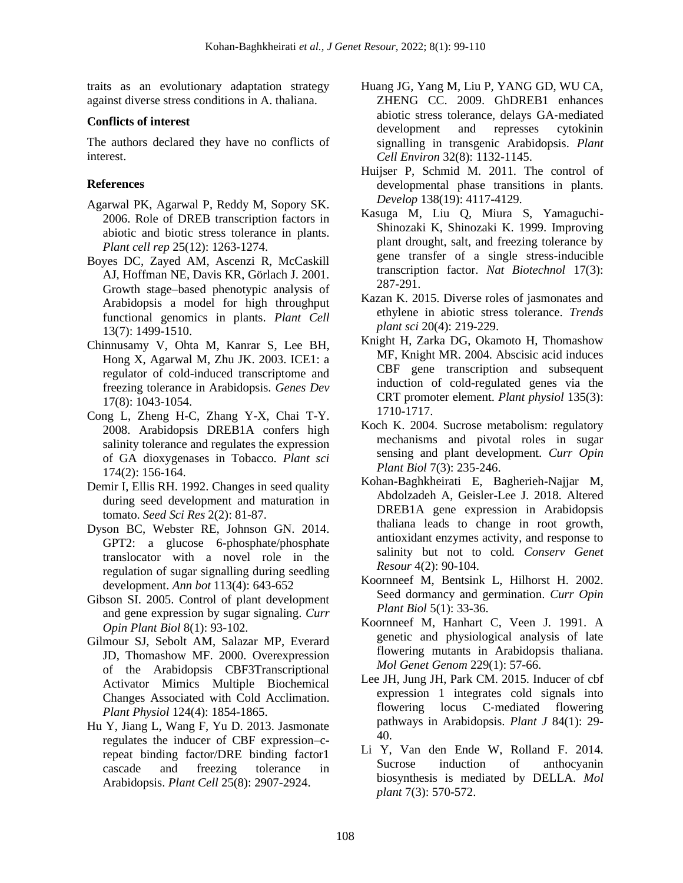traits as an evolutionary adaptation strategy against diverse stress conditions in A. thaliana.

### **Conflicts of interest**

The authors declared they have no conflicts of interest.

### **References**

- Agarwal PK, Agarwal P, Reddy M, Sopory SK. 2006. Role of DREB transcription factors in abiotic and biotic stress tolerance in plants. *Plant cell rep* 25(12): 1263-1274.
- Boyes DC, Zayed AM, Ascenzi R, McCaskill AJ, Hoffman NE, Davis KR, Görlach J. 2001. Growth stage–based phenotypic analysis of Arabidopsis a model for high throughput functional genomics in plants. *Plant Cell* 13(7): 1499-1510.
- Chinnusamy V, Ohta M, Kanrar S, Lee BH, Hong X, Agarwal M, Zhu JK. 2003. ICE1: a regulator of cold-induced transcriptome and freezing tolerance in Arabidopsis. *Genes Dev* 17(8): 1043-1054.
- Cong L, Zheng H-C, Zhang Y-X, Chai T-Y. 2008. Arabidopsis DREB1A confers high salinity tolerance and regulates the expression of GA dioxygenases in Tobacco. *Plant sci* 174(2): 156-164.
- Demir I, Ellis RH. 1992. Changes in seed quality during seed development and maturation in tomato. *Seed Sci Res* 2(2): 81-87.
- Dyson BC, Webster RE, Johnson GN. 2014. GPT2: a glucose 6-phosphate/phosphate translocator with a novel role in the regulation of sugar signalling during seedling development. *Ann bot* 113(4): 643-652
- Gibson SI. 2005. Control of plant development and gene expression by sugar signaling. *Curr Opin Plant Biol* 8(1): 93-102.
- Gilmour SJ, Sebolt AM, Salazar MP, Everard JD, Thomashow MF. 2000. Overexpression of the Arabidopsis CBF3Transcriptional Activator Mimics Multiple Biochemical Changes Associated with Cold Acclimation. *Plant Physiol* 124(4): 1854-1865.
- Hu Y, Jiang L, Wang F, Yu D. 2013. Jasmonate regulates the inducer of CBF expression–crepeat binding factor/DRE binding factor1 cascade and freezing tolerance in Arabidopsis. *Plant Cell* 25(8): 2907-2924.
- Huang JG, Yang M, Liu P, YANG GD, WU CA, ZHENG CC. 2009. GhDREB1 enhances abiotic stress tolerance, delays GA‐mediated development and represses cytokinin signalling in transgenic Arabidopsis. *Plant Cell Environ* 32(8): 1132-1145.
- Huijser P, Schmid M. 2011. The control of developmental phase transitions in plants. *Develop* 138(19): 4117-4129.
- Kasuga M, Liu Q, Miura S, Yamaguchi-Shinozaki K, Shinozaki K. 1999. Improving plant drought, salt, and freezing tolerance by gene transfer of a single stress-inducible transcription factor. *Nat Biotechnol* 17(3): 287-291.
- Kazan K. 2015. Diverse roles of jasmonates and ethylene in abiotic stress tolerance. *Trends plant sci* 20(4): 219-229.
- Knight H, Zarka DG, Okamoto H, Thomashow MF, Knight MR. 2004. Abscisic acid induces CBF gene transcription and subsequent induction of cold-regulated genes via the CRT promoter element. *Plant physiol* 135(3): 1710-1717.
- Koch K. 2004. Sucrose metabolism: regulatory mechanisms and pivotal roles in sugar sensing and plant development. *Curr Opin Plant Biol* 7(3): 235-246.
- Kohan-Baghkheirati E, Bagherieh-Najjar M, Abdolzadeh A, Geisler-Lee J. 2018. Altered DREB1A gene expression in Arabidopsis thaliana leads to change in root growth, antioxidant enzymes activity, and response to salinity but not to cold. *Conserv Genet Resour* 4(2): 90-104.
- Koornneef M, Bentsink L, Hilhorst H. 2002. Seed dormancy and germination. *Curr Opin Plant Biol* 5(1): 33-36.
- Koornneef M, Hanhart C, Veen J. 1991. A genetic and physiological analysis of late flowering mutants in Arabidopsis thaliana. *Mol Genet Genom* 229(1): 57-66.
- Lee JH, Jung JH, Park CM. 2015. Inducer of cbf expression 1 integrates cold signals into flowering locus C‐mediated flowering pathways in Arabidopsis. *Plant J* 84(1): 29- 40.
- Li Y, Van den Ende W, Rolland F. 2014. Sucrose induction of anthocyanin biosynthesis is mediated by DELLA. *Mol plant* 7(3): 570-572.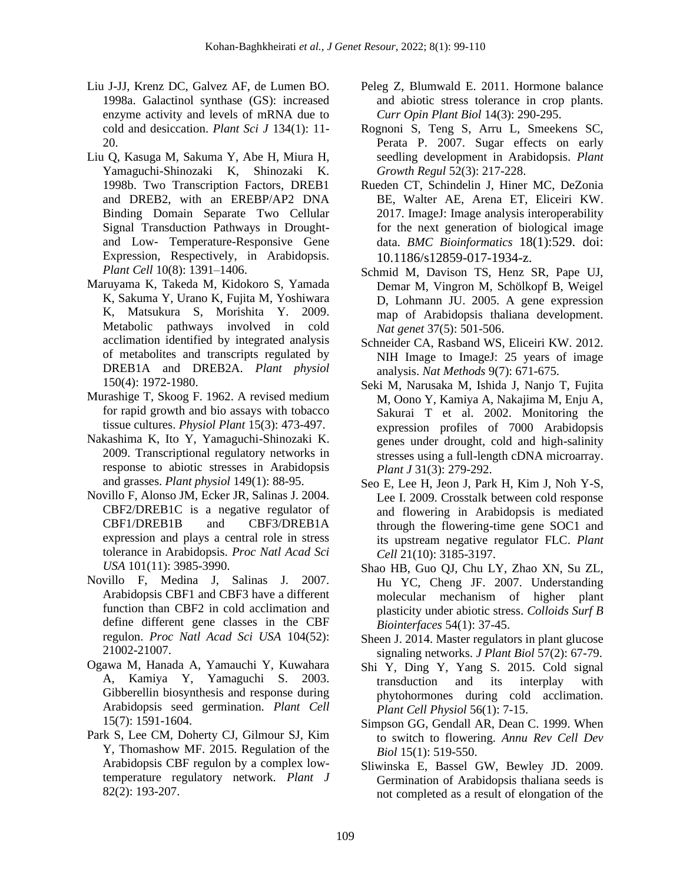- Liu J-JJ, Krenz DC, Galvez AF, de Lumen BO. 1998a. Galactinol synthase (GS): increased enzyme activity and levels of mRNA due to cold and desiccation. *Plant Sci J* 134(1): 11- 20.
- Liu Q, Kasuga M, Sakuma Y, Abe H, Miura H, Yamaguchi-Shinozaki K, Shinozaki K. 1998b. Two Transcription Factors, DREB1 and DREB2, with an EREBP/AP2 DNA Binding Domain Separate Two Cellular Signal Transduction Pathways in Droughtand Low- Temperature-Responsive Gene Expression, Respectively, in Arabidopsis. *Plant Cell* 10(8): 1391–1406.
- Maruyama K, Takeda M, Kidokoro S, Yamada K, Sakuma Y, Urano K, Fujita M, Yoshiwara K, Matsukura S, Morishita Y. 2009. Metabolic pathways involved in cold acclimation identified by integrated analysis of metabolites and transcripts regulated by DREB1A and DREB2A. *Plant physiol* 150(4): 1972-1980.
- Murashige T, Skoog F. 1962. A revised medium for rapid growth and bio assays with tobacco tissue cultures. *Physiol Plant* 15(3): 473-497.
- Nakashima K, Ito Y, Yamaguchi-Shinozaki K. 2009. Transcriptional regulatory networks in response to abiotic stresses in Arabidopsis and grasses. *Plant physiol* 149(1): 88-95.
- Novillo F, Alonso JM, Ecker JR, Salinas J. 2004. CBF2/DREB1C is a negative regulator of CBF1/DREB1B and CBF3/DREB1A expression and plays a central role in stress tolerance in Arabidopsis. *Proc Natl Acad Sci USA* 101(11): 3985-3990.
- Novillo F, Medina J, Salinas J. 2007. Arabidopsis CBF1 and CBF3 have a different function than CBF2 in cold acclimation and define different gene classes in the CBF regulon. *Proc Natl Acad Sci USA* 104(52): 21002-21007.
- Ogawa M, Hanada A, Yamauchi Y, Kuwahara A, Kamiya Y, Yamaguchi S. 2003. Gibberellin biosynthesis and response during Arabidopsis seed germination. *Plant Cell* 15(7): 1591-1604.
- Park S, Lee CM, Doherty CJ, Gilmour SJ, Kim Y, Thomashow MF. 2015. Regulation of the Arabidopsis CBF regulon by a complex lowtemperature regulatory network. *Plant J* 82(2): 193-207.
- Peleg Z, Blumwald E. 2011. Hormone balance and abiotic stress tolerance in crop plants. *Curr Opin Plant Biol* 14(3): 290-295.
- Rognoni S, Teng S, Arru L, Smeekens SC, Perata P. 2007. Sugar effects on early seedling development in Arabidopsis. *Plant Growth Regul* 52(3): 217-228.
- Rueden CT, Schindelin J, Hiner MC, DeZonia BE, Walter AE, Arena ET, Eliceiri KW. 2017. ImageJ: Image analysis interoperability for the next generation of biological image data. *BMC Bioinformatics* 18(1):529. doi: 10.1186/s12859-017-1934-z.
- Schmid M, Davison TS, Henz SR, Pape UJ, Demar M, Vingron M, Schölkopf B, Weigel D, Lohmann JU. 2005. A gene expression map of Arabidopsis thaliana development. *Nat genet* 37(5): 501-506.
- Schneider CA, Rasband WS, Eliceiri KW. 2012. NIH Image to ImageJ: 25 years of image analysis. *Nat Methods* 9(7): 671-675.
- Seki M, Narusaka M, Ishida J, Nanjo T, Fujita M, Oono Y, Kamiya A, Nakajima M, Enju A, Sakurai T et al. 2002. Monitoring the expression profiles of 7000 Arabidopsis genes under drought, cold and high-salinity stresses using a full-length cDNA microarray. *Plant J* 31(3): 279-292.
- Seo E, Lee H, Jeon J, Park H, Kim J, Noh Y-S, Lee I. 2009. Crosstalk between cold response and flowering in Arabidopsis is mediated through the flowering-time gene SOC1 and its upstream negative regulator FLC. *Plant Cell* 21(10): 3185-3197.
- Shao HB, Guo QJ, Chu LY, Zhao XN, Su ZL, Hu YC, Cheng JF. 2007. Understanding molecular mechanism of higher plant plasticity under abiotic stress. *Colloids Surf B Biointerfaces* 54(1): 37-45.
- Sheen J. 2014. Master regulators in plant glucose signaling networks. *J Plant Biol* 57(2): 67-79.
- Shi Y, Ding Y, Yang S. 2015. Cold signal transduction and its interplay with phytohormones during cold acclimation. *Plant Cell Physiol* 56(1): 7-15.
- Simpson GG, Gendall AR, Dean C. 1999. When to switch to flowering. *Annu Rev Cell Dev Biol* 15(1): 519-550.
- Sliwinska E, Bassel GW, Bewley JD. 2009. Germination of Arabidopsis thaliana seeds is not completed as a result of elongation of the